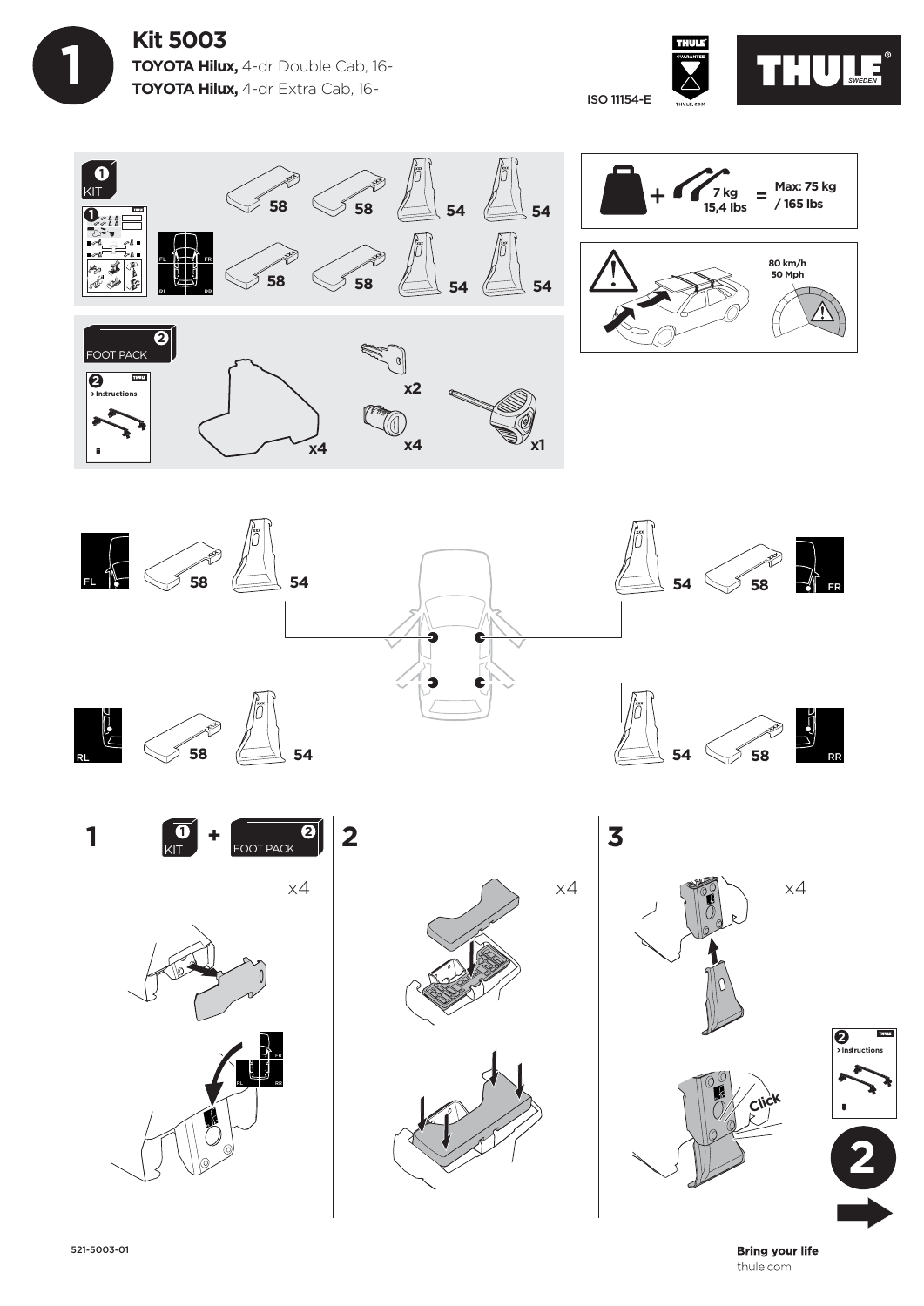







x4  $\begin{bmatrix} \mathbf{0} \\ \mathsf{KIT} \end{bmatrix}$  +  $\begin{bmatrix} \mathbf{0} \\ \mathsf{FOOT} \end{bmatrix}$  2 **1** FOOT PACK **+ <sup>2</sup>**









**3**



**Bring your life** thule.com